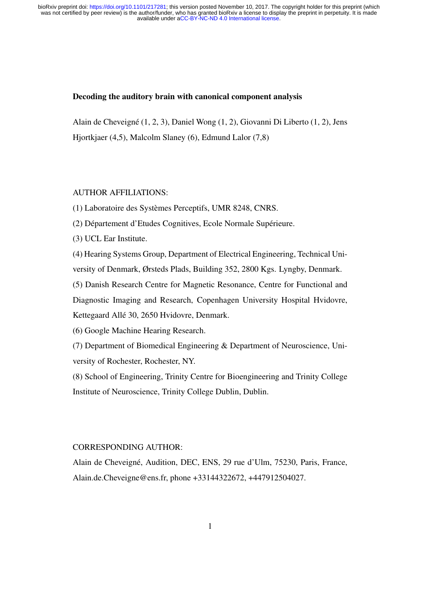#### Decoding the auditory brain with canonical component analysis

Alain de Cheveigné (1, 2, 3), Daniel Wong (1, 2), Giovanni Di Liberto (1, 2), Jens Hjortkjaer (4,5), Malcolm Slaney (6), Edmund Lalor (7,8)

#### AUTHOR AFFILIATIONS:

(1) Laboratoire des Systèmes Perceptifs, UMR 8248, CNRS.

(2) Département d'Etudes Cognitives, Ecole Normale Supérieure.

(3) UCL Ear Institute.

(4) Hearing Systems Group, Department of Electrical Engineering, Technical University of Denmark, Ørsteds Plads, Building 352, 2800 Kgs. Lyngby, Denmark.

(5) Danish Research Centre for Magnetic Resonance, Centre for Functional and Diagnostic Imaging and Research, Copenhagen University Hospital Hvidovre, Kettegaard Allé 30, 2650 Hvidovre, Denmark.

(6) Google Machine Hearing Research.

(7) Department of Biomedical Engineering & Department of Neuroscience, University of Rochester, Rochester, NY.

(8) School of Engineering, Trinity Centre for Bioengineering and Trinity College Institute of Neuroscience, Trinity College Dublin, Dublin.

#### CORRESPONDING AUTHOR:

Alain de Cheveigné, Audition, DEC, ENS, 29 rue d'Ulm, 75230, Paris, France, Alain.de.Cheveigne@ens.fr, phone +33144322672, +447912504027.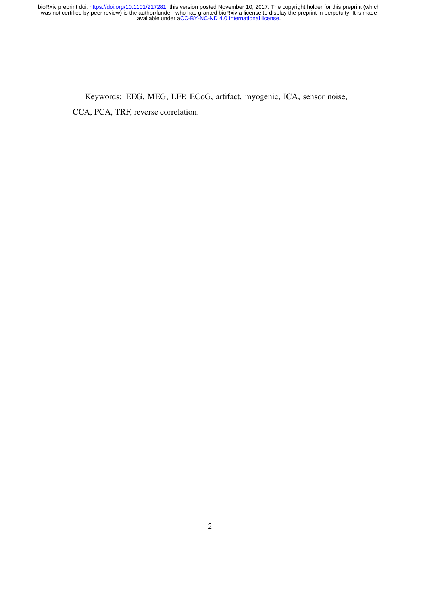Keywords: EEG, MEG, LFP, ECoG, artifact, myogenic, ICA, sensor noise, CCA, PCA, TRF, reverse correlation.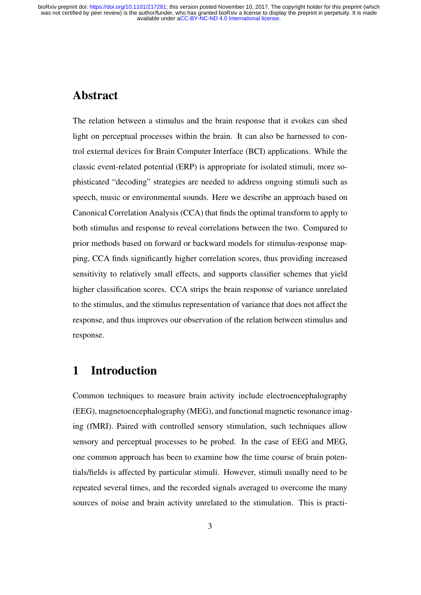### Abstract

The relation between a stimulus and the brain response that it evokes can shed light on perceptual processes within the brain. It can also be harnessed to control external devices for Brain Computer Interface (BCI) applications. While the classic event-related potential (ERP) is appropriate for isolated stimuli, more sophisticated "decoding" strategies are needed to address ongoing stimuli such as speech, music or environmental sounds. Here we describe an approach based on Canonical Correlation Analysis (CCA) that finds the optimal transform to apply to both stimulus and response to reveal correlations between the two. Compared to prior methods based on forward or backward models for stimulus-response mapping, CCA finds significantly higher correlation scores, thus providing increased sensitivity to relatively small effects, and supports classifier schemes that yield higher classification scores. CCA strips the brain response of variance unrelated to the stimulus, and the stimulus representation of variance that does not affect the response, and thus improves our observation of the relation between stimulus and response.

# 1 Introduction

Common techniques to measure brain activity include electroencephalography (EEG), magnetoencephalography (MEG), and functional magnetic resonance imaging (fMRI). Paired with controlled sensory stimulation, such techniques allow sensory and perceptual processes to be probed. In the case of EEG and MEG, one common approach has been to examine how the time course of brain potentials/fields is affected by particular stimuli. However, stimuli usually need to be repeated several times, and the recorded signals averaged to overcome the many sources of noise and brain activity unrelated to the stimulation. This is practi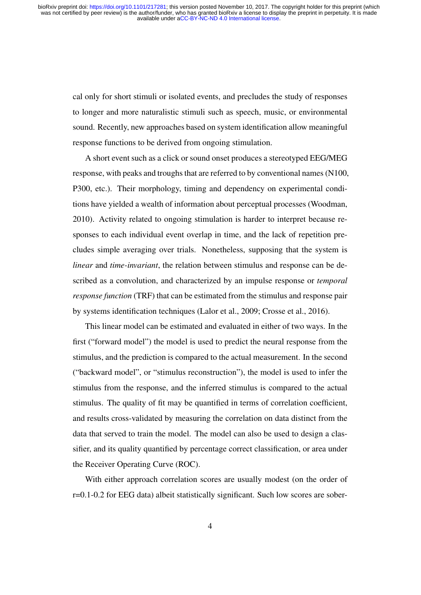cal only for short stimuli or isolated events, and precludes the study of responses to longer and more naturalistic stimuli such as speech, music, or environmental sound. Recently, new approaches based on system identification allow meaningful response functions to be derived from ongoing stimulation.

A short event such as a click or sound onset produces a stereotyped EEG/MEG response, with peaks and troughs that are referred to by conventional names (N100, P300, etc.). Their morphology, timing and dependency on experimental conditions have yielded a wealth of information about perceptual processes (Woodman, 2010). Activity related to ongoing stimulation is harder to interpret because responses to each individual event overlap in time, and the lack of repetition precludes simple averaging over trials. Nonetheless, supposing that the system is *linear* and *time-invariant*, the relation between stimulus and response can be described as a convolution, and characterized by an impulse response or *temporal response function* (TRF) that can be estimated from the stimulus and response pair by systems identification techniques (Lalor et al., 2009; Crosse et al., 2016).

This linear model can be estimated and evaluated in either of two ways. In the first ("forward model") the model is used to predict the neural response from the stimulus, and the prediction is compared to the actual measurement. In the second ("backward model", or "stimulus reconstruction"), the model is used to infer the stimulus from the response, and the inferred stimulus is compared to the actual stimulus. The quality of fit may be quantified in terms of correlation coefficient, and results cross-validated by measuring the correlation on data distinct from the data that served to train the model. The model can also be used to design a classifier, and its quality quantified by percentage correct classification, or area under the Receiver Operating Curve (ROC).

With either approach correlation scores are usually modest (on the order of r=0.1-0.2 for EEG data) albeit statistically significant. Such low scores are sober-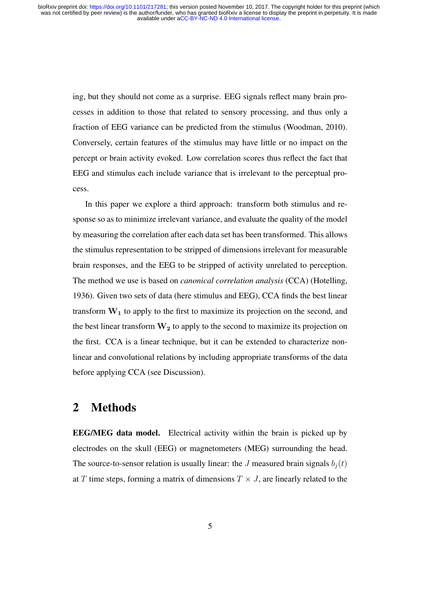ing, but they should not come as a surprise. EEG signals reflect many brain processes in addition to those that related to sensory processing, and thus only a fraction of EEG variance can be predicted from the stimulus (Woodman, 2010). Conversely, certain features of the stimulus may have little or no impact on the percept or brain activity evoked. Low correlation scores thus reflect the fact that EEG and stimulus each include variance that is irrelevant to the perceptual process.

In this paper we explore a third approach: transform both stimulus and response so as to minimize irrelevant variance, and evaluate the quality of the model by measuring the correlation after each data set has been transformed. This allows the stimulus representation to be stripped of dimensions irrelevant for measurable brain responses, and the EEG to be stripped of activity unrelated to perception. The method we use is based on *canonical correlation analysis* (CCA) (Hotelling, 1936). Given two sets of data (here stimulus and EEG), CCA finds the best linear transform  $W_1$  to apply to the first to maximize its projection on the second, and the best linear transform  $W_2$  to apply to the second to maximize its projection on the first. CCA is a linear technique, but it can be extended to characterize nonlinear and convolutional relations by including appropriate transforms of the data before applying CCA (see Discussion).

### 2 Methods

EEG/MEG data model. Electrical activity within the brain is picked up by electrodes on the skull (EEG) or magnetometers (MEG) surrounding the head. The source-to-sensor relation is usually linear: the J measured brain signals  $b_i(t)$ at T time steps, forming a matrix of dimensions  $T \times J$ , are linearly related to the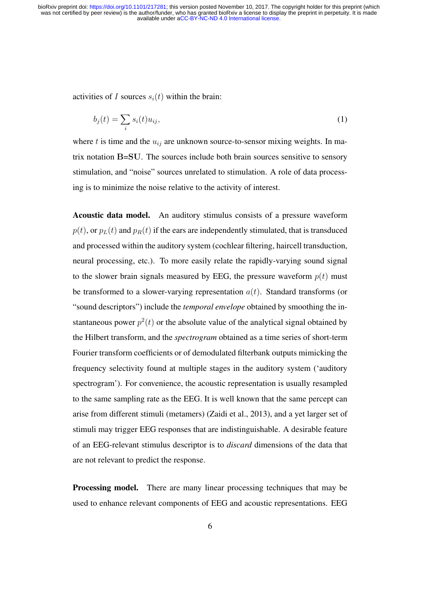activities of I sources  $s_i(t)$  within the brain:

$$
b_j(t) = \sum_i s_i(t) u_{ij},\tag{1}
$$

where t is time and the  $u_{ij}$  are unknown source-to-sensor mixing weights. In matrix notation B=SU. The sources include both brain sources sensitive to sensory stimulation, and "noise" sources unrelated to stimulation. A role of data processing is to minimize the noise relative to the activity of interest.

Acoustic data model. An auditory stimulus consists of a pressure waveform  $p(t)$ , or  $p<sub>L</sub>(t)$  and  $p<sub>R</sub>(t)$  if the ears are independently stimulated, that is transduced and processed within the auditory system (cochlear filtering, haircell transduction, neural processing, etc.). To more easily relate the rapidly-varying sound signal to the slower brain signals measured by EEG, the pressure waveform  $p(t)$  must be transformed to a slower-varying representation  $a(t)$ . Standard transforms (or "sound descriptors") include the *temporal envelope* obtained by smoothing the instantaneous power  $p^2(t)$  or the absolute value of the analytical signal obtained by the Hilbert transform, and the *spectrogram* obtained as a time series of short-term Fourier transform coefficients or of demodulated filterbank outputs mimicking the frequency selectivity found at multiple stages in the auditory system ('auditory spectrogram'). For convenience, the acoustic representation is usually resampled to the same sampling rate as the EEG. It is well known that the same percept can arise from different stimuli (metamers) (Zaidi et al., 2013), and a yet larger set of stimuli may trigger EEG responses that are indistinguishable. A desirable feature of an EEG-relevant stimulus descriptor is to *discard* dimensions of the data that are not relevant to predict the response.

Processing model. There are many linear processing techniques that may be used to enhance relevant components of EEG and acoustic representations. EEG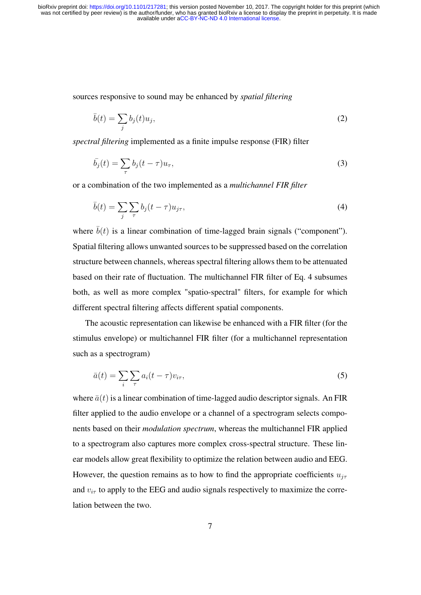sources responsive to sound may be enhanced by *spatial filtering*

$$
\bar{b}(t) = \sum_{j} b_j(t) u_j,\tag{2}
$$

*spectral filtering* implemented as a finite impulse response (FIR) filter

$$
\bar{b}_j(t) = \sum_{\tau} b_j(t - \tau) u_{\tau},\tag{3}
$$

or a combination of the two implemented as a *multichannel FIR filter*

$$
\bar{b}(t) = \sum_{j} \sum_{\tau} b_j (t - \tau) u_{j\tau},\tag{4}
$$

where  $\bar{b}(t)$  is a linear combination of time-lagged brain signals ("component"). Spatial filtering allows unwanted sources to be suppressed based on the correlation structure between channels, whereas spectral filtering allows them to be attenuated based on their rate of fluctuation. The multichannel FIR filter of Eq. 4 subsumes both, as well as more complex "spatio-spectral" filters, for example for which different spectral filtering affects different spatial components.

The acoustic representation can likewise be enhanced with a FIR filter (for the stimulus envelope) or multichannel FIR filter (for a multichannel representation such as a spectrogram)

$$
\bar{a}(t) = \sum_{i} \sum_{\tau} a_i (t - \tau) v_{i\tau},\tag{5}
$$

where  $\bar{a}(t)$  is a linear combination of time-lagged audio descriptor signals. An FIR filter applied to the audio envelope or a channel of a spectrogram selects components based on their *modulation spectrum*, whereas the multichannel FIR applied to a spectrogram also captures more complex cross-spectral structure. These linear models allow great flexibility to optimize the relation between audio and EEG. However, the question remains as to how to find the appropriate coefficients  $u_{j\tau}$ and  $v_{i\tau}$  to apply to the EEG and audio signals respectively to maximize the correlation between the two.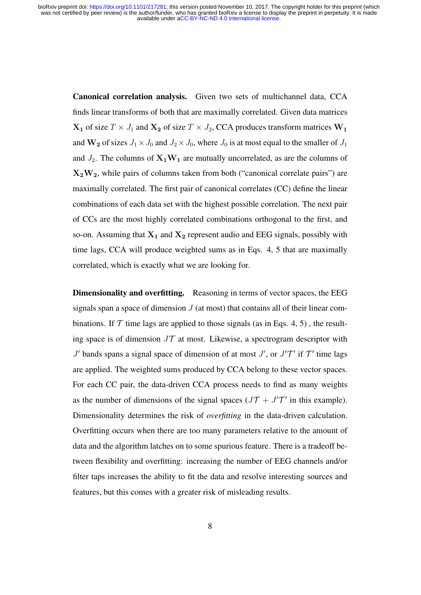Canonical correlation analysis. Given two sets of multichannel data, CCA finds linear transforms of both that are maximally correlated. Given data matrices  $X_1$  of size  $T \times J_1$  and  $X_2$  of size  $T \times J_2$ , CCA produces transform matrices  $W_1$ and  $\mathbf{W_2}$  of sizes  $J_1 \times J_0$  and  $J_2 \times J_0$ , where  $J_0$  is at most equal to the smaller of  $J_1$ and  $J_2$ . The columns of  $X_1W_1$  are mutually uncorrelated, as are the columns of  $X_2W_2$ , while pairs of columns taken from both ("canonical correlate pairs") are maximally correlated. The first pair of canonical correlates (CC) define the linear combinations of each data set with the highest possible correlation. The next pair of CCs are the most highly correlated combinations orthogonal to the first, and so-on. Assuming that  $X_1$  and  $X_2$  represent audio and EEG signals, possibly with time lags, CCA will produce weighted sums as in Eqs. 4, 5 that are maximally correlated, which is exactly what we are looking for.

Dimensionality and overfitting. Reasoning in terms of vector spaces, the EEG signals span a space of dimension  $J$  (at most) that contains all of their linear combinations. If  $\mathcal T$  time lags are applied to those signals (as in Eqs. 4, 5), the resulting space is of dimension  $J\mathcal{T}$  at most. Likewise, a spectrogram descriptor with  $J'$  bands spans a signal space of dimension of at most  $J'$ , or  $J'T'$  if  $T'$  time lags are applied. The weighted sums produced by CCA belong to these vector spaces. For each CC pair, the data-driven CCA process needs to find as many weights as the number of dimensions of the signal spaces  $(JT + J'T')$  in this example). Dimensionality determines the risk of *overfitting* in the data-driven calculation. Overfitting occurs when there are too many parameters relative to the amount of data and the algorithm latches on to some spurious feature. There is a tradeoff between flexibility and overfitting: increasing the number of EEG channels and/or filter taps increases the ability to fit the data and resolve interesting sources and features, but this comes with a greater risk of misleading results.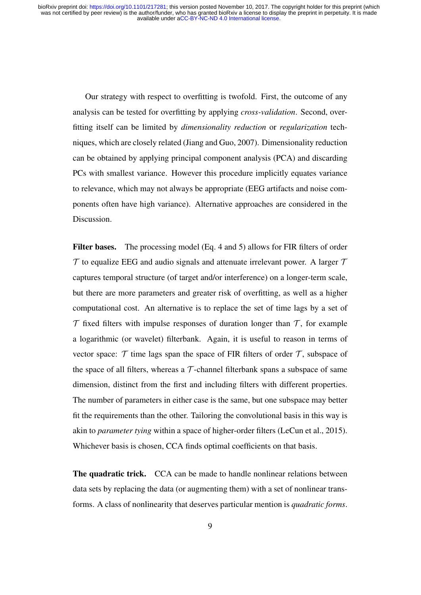Our strategy with respect to overfitting is twofold. First, the outcome of any analysis can be tested for overfitting by applying *cross-validation*. Second, overfitting itself can be limited by *dimensionality reduction* or *regularization* techniques, which are closely related (Jiang and Guo, 2007). Dimensionality reduction can be obtained by applying principal component analysis (PCA) and discarding PCs with smallest variance. However this procedure implicitly equates variance to relevance, which may not always be appropriate (EEG artifacts and noise components often have high variance). Alternative approaches are considered in the Discussion.

Filter bases. The processing model (Eq. 4 and 5) allows for FIR filters of order  $\mathcal T$  to equalize EEG and audio signals and attenuate irrelevant power. A larger  $\mathcal T$ captures temporal structure (of target and/or interference) on a longer-term scale, but there are more parameters and greater risk of overfitting, as well as a higher computational cost. An alternative is to replace the set of time lags by a set of  $\mathcal T$  fixed filters with impulse responses of duration longer than  $\mathcal T$ , for example a logarithmic (or wavelet) filterbank. Again, it is useful to reason in terms of vector space:  $\mathcal T$  time lags span the space of FIR filters of order  $\mathcal T$ , subspace of the space of all filters, whereas a  $\mathcal T$ -channel filterbank spans a subspace of same dimension, distinct from the first and including filters with different properties. The number of parameters in either case is the same, but one subspace may better fit the requirements than the other. Tailoring the convolutional basis in this way is akin to *parameter tying* within a space of higher-order filters (LeCun et al., 2015). Whichever basis is chosen, CCA finds optimal coefficients on that basis.

The quadratic trick. CCA can be made to handle nonlinear relations between data sets by replacing the data (or augmenting them) with a set of nonlinear transforms. A class of nonlinearity that deserves particular mention is *quadratic forms*.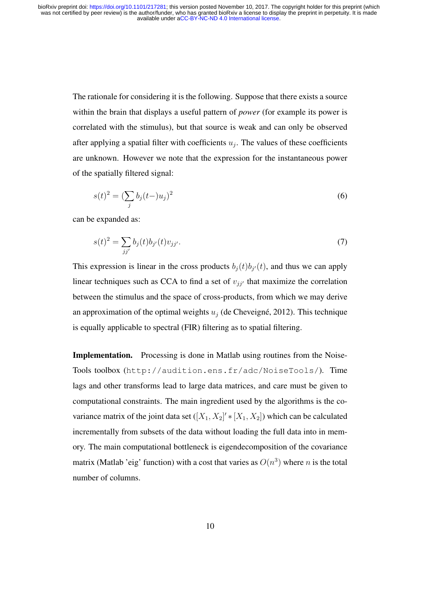> The rationale for considering it is the following. Suppose that there exists a source within the brain that displays a useful pattern of *power* (for example its power is correlated with the stimulus), but that source is weak and can only be observed after applying a spatial filter with coefficients  $u_j$ . The values of these coefficients are unknown. However we note that the expression for the instantaneous power of the spatially filtered signal:

$$
s(t)^{2} = (\sum_{j} b_{j}(t-)u_{j})^{2}
$$
\n(6)

can be expanded as:

$$
s(t)^{2} = \sum_{jj'} b_{j}(t)b_{j'}(t)v_{jj'}.
$$
\n(7)

This expression is linear in the cross products  $b_j(t)b_{j}(t)$ , and thus we can apply linear techniques such as CCA to find a set of  $v_{ji'}$  that maximize the correlation between the stimulus and the space of cross-products, from which we may derive an approximation of the optimal weights  $u_i$  (de Cheveigné, 2012). This technique is equally applicable to spectral (FIR) filtering as to spatial filtering.

Implementation. Processing is done in Matlab using routines from the Noise-Tools toolbox (http://audition.ens.fr/adc/NoiseTools/). Time lags and other transforms lead to large data matrices, and care must be given to computational constraints. The main ingredient used by the algorithms is the covariance matrix of the joint data set  $([X_1, X_2]' * [X_1, X_2]$  which can be calculated incrementally from subsets of the data without loading the full data into in memory. The main computational bottleneck is eigendecomposition of the covariance matrix (Matlab 'eig' function) with a cost that varies as  $O(n^3)$  where n is the total number of columns.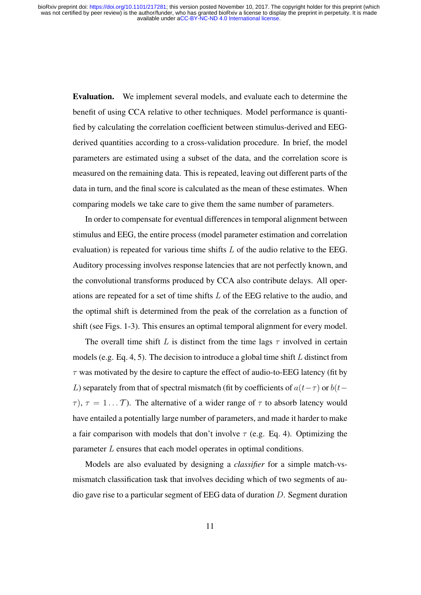Evaluation. We implement several models, and evaluate each to determine the benefit of using CCA relative to other techniques. Model performance is quantified by calculating the correlation coefficient between stimulus-derived and EEGderived quantities according to a cross-validation procedure. In brief, the model parameters are estimated using a subset of the data, and the correlation score is measured on the remaining data. This is repeated, leaving out different parts of the data in turn, and the final score is calculated as the mean of these estimates. When comparing models we take care to give them the same number of parameters.

In order to compensate for eventual differences in temporal alignment between stimulus and EEG, the entire process (model parameter estimation and correlation evaluation) is repeated for various time shifts L of the audio relative to the EEG. Auditory processing involves response latencies that are not perfectly known, and the convolutional transforms produced by CCA also contribute delays. All operations are repeated for a set of time shifts L of the EEG relative to the audio, and the optimal shift is determined from the peak of the correlation as a function of shift (see Figs. 1-3). This ensures an optimal temporal alignment for every model.

The overall time shift L is distinct from the time lags  $\tau$  involved in certain models (e.g. Eq. 4, 5). The decision to introduce a global time shift  $L$  distinct from  $\tau$  was motivated by the desire to capture the effect of audio-to-EEG latency (fit by L) separately from that of spectral mismatch (fit by coefficients of  $a(t-\tau)$  or  $b(t-\tau)$  $\tau$ ),  $\tau = 1...T$ ). The alternative of a wider range of  $\tau$  to absorb latency would have entailed a potentially large number of parameters, and made it harder to make a fair comparison with models that don't involve  $\tau$  (e.g. Eq. 4). Optimizing the parameter L ensures that each model operates in optimal conditions.

Models are also evaluated by designing a *classifier* for a simple match-vsmismatch classification task that involves deciding which of two segments of audio gave rise to a particular segment of EEG data of duration D. Segment duration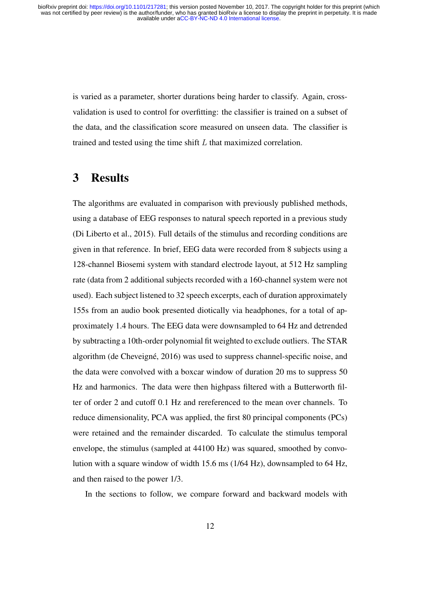is varied as a parameter, shorter durations being harder to classify. Again, crossvalidation is used to control for overfitting: the classifier is trained on a subset of the data, and the classification score measured on unseen data. The classifier is trained and tested using the time shift L that maximized correlation.

### 3 Results

The algorithms are evaluated in comparison with previously published methods, using a database of EEG responses to natural speech reported in a previous study (Di Liberto et al., 2015). Full details of the stimulus and recording conditions are given in that reference. In brief, EEG data were recorded from 8 subjects using a 128-channel Biosemi system with standard electrode layout, at 512 Hz sampling rate (data from 2 additional subjects recorded with a 160-channel system were not used). Each subject listened to 32 speech excerpts, each of duration approximately 155s from an audio book presented diotically via headphones, for a total of approximately 1.4 hours. The EEG data were downsampled to 64 Hz and detrended by subtracting a 10th-order polynomial fit weighted to exclude outliers. The STAR algorithm (de Cheveigné, 2016) was used to suppress channel-specific noise, and the data were convolved with a boxcar window of duration 20 ms to suppress 50 Hz and harmonics. The data were then highpass filtered with a Butterworth filter of order 2 and cutoff 0.1 Hz and rereferenced to the mean over channels. To reduce dimensionality, PCA was applied, the first 80 principal components (PCs) were retained and the remainder discarded. To calculate the stimulus temporal envelope, the stimulus (sampled at 44100 Hz) was squared, smoothed by convolution with a square window of width 15.6 ms (1/64 Hz), downsampled to 64 Hz, and then raised to the power 1/3.

In the sections to follow, we compare forward and backward models with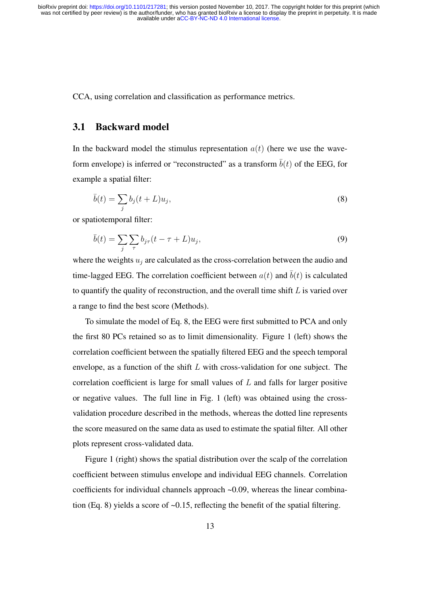CCA, using correlation and classification as performance metrics.

#### 3.1 Backward model

In the backward model the stimulus representation  $a(t)$  (here we use the waveform envelope) is inferred or "reconstructed" as a transform  $\overline{b}(t)$  of the EEG, for example a spatial filter:

$$
\bar{b}(t) = \sum_{j} b_j(t+L)u_j,\tag{8}
$$

or spatiotemporal filter:

$$
\bar{b}(t) = \sum_{j} \sum_{\tau} b_{j\tau} (t - \tau + L) u_j,
$$
\n(9)

where the weights  $u_i$  are calculated as the cross-correlation between the audio and time-lagged EEG. The correlation coefficient between  $a(t)$  and  $\overline{b}(t)$  is calculated to quantify the quality of reconstruction, and the overall time shift  $L$  is varied over a range to find the best score (Methods).

To simulate the model of Eq. 8, the EEG were first submitted to PCA and only the first 80 PCs retained so as to limit dimensionality. Figure 1 (left) shows the correlation coefficient between the spatially filtered EEG and the speech temporal envelope, as a function of the shift  $L$  with cross-validation for one subject. The correlation coefficient is large for small values of  $L$  and falls for larger positive or negative values. The full line in Fig. 1 (left) was obtained using the crossvalidation procedure described in the methods, whereas the dotted line represents the score measured on the same data as used to estimate the spatial filter. All other plots represent cross-validated data.

Figure 1 (right) shows the spatial distribution over the scalp of the correlation coefficient between stimulus envelope and individual EEG channels. Correlation coefficients for individual channels approach ~0.09, whereas the linear combination (Eq. 8) yields a score of ~0.15, reflecting the benefit of the spatial filtering.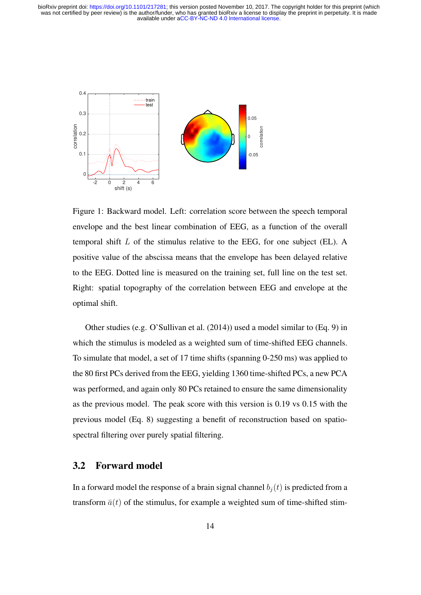

Figure 1: Backward model. Left: correlation score between the speech temporal envelope and the best linear combination of EEG, as a function of the overall temporal shift  $L$  of the stimulus relative to the EEG, for one subject (EL). A positive value of the abscissa means that the envelope has been delayed relative to the EEG. Dotted line is measured on the training set, full line on the test set. Right: spatial topography of the correlation between EEG and envelope at the optimal shift.

Other studies (e.g. O'Sullivan et al. (2014)) used a model similar to (Eq. 9) in which the stimulus is modeled as a weighted sum of time-shifted EEG channels. To simulate that model, a set of 17 time shifts (spanning 0-250 ms) was applied to the 80 first PCs derived from the EEG, yielding 1360 time-shifted PCs, a new PCA was performed, and again only 80 PCs retained to ensure the same dimensionality as the previous model. The peak score with this version is 0.19 vs 0.15 with the previous model (Eq. 8) suggesting a benefit of reconstruction based on spatiospectral filtering over purely spatial filtering.

#### 3.2 Forward model

In a forward model the response of a brain signal channel  $b_i(t)$  is predicted from a transform  $\bar{a}(t)$  of the stimulus, for example a weighted sum of time-shifted stim-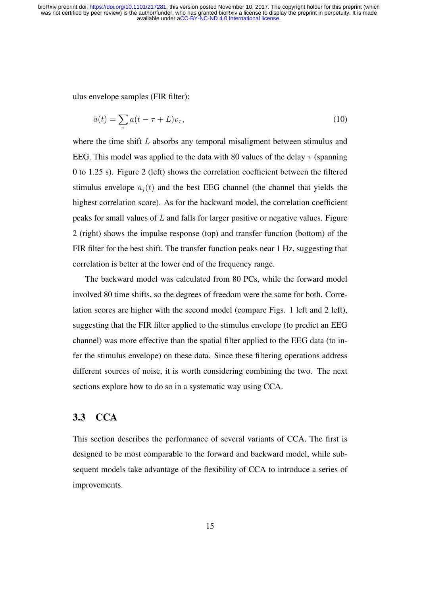ulus envelope samples (FIR filter):

$$
\bar{a}(t) = \sum_{\tau} a(t - \tau + L)v_{\tau},\tag{10}
$$

where the time shift  $L$  absorbs any temporal misaligment between stimulus and EEG. This model was applied to the data with 80 values of the delay  $\tau$  (spanning 0 to 1.25 s). Figure 2 (left) shows the correlation coefficient between the filtered stimulus envelope  $\bar{a}_j(t)$  and the best EEG channel (the channel that yields the highest correlation score). As for the backward model, the correlation coefficient peaks for small values of  $L$  and falls for larger positive or negative values. Figure 2 (right) shows the impulse response (top) and transfer function (bottom) of the FIR filter for the best shift. The transfer function peaks near 1 Hz, suggesting that correlation is better at the lower end of the frequency range.

The backward model was calculated from 80 PCs, while the forward model involved 80 time shifts, so the degrees of freedom were the same for both. Correlation scores are higher with the second model (compare Figs. 1 left and 2 left), suggesting that the FIR filter applied to the stimulus envelope (to predict an EEG channel) was more effective than the spatial filter applied to the EEG data (to infer the stimulus envelope) on these data. Since these filtering operations address different sources of noise, it is worth considering combining the two. The next sections explore how to do so in a systematic way using CCA.

### 3.3 CCA

This section describes the performance of several variants of CCA. The first is designed to be most comparable to the forward and backward model, while subsequent models take advantage of the flexibility of CCA to introduce a series of improvements.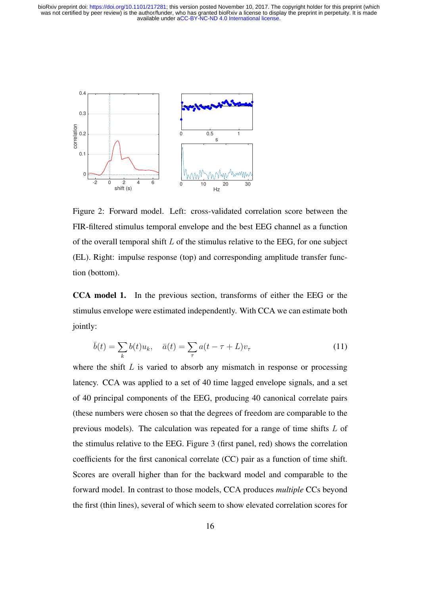

Figure 2: Forward model. Left: cross-validated correlation score between the FIR-filtered stimulus temporal envelope and the best EEG channel as a function of the overall temporal shift  $L$  of the stimulus relative to the EEG, for one subject (EL). Right: impulse response (top) and corresponding amplitude transfer function (bottom).

CCA model 1. In the previous section, transforms of either the EEG or the stimulus envelope were estimated independently. With CCA we can estimate both jointly:

$$
\bar{b}(t) = \sum_{k} b(t)u_k, \quad \bar{a}(t) = \sum_{\tau} a(t - \tau + L)v_{\tau}
$$
\n(11)

where the shift  $L$  is varied to absorb any mismatch in response or processing latency. CCA was applied to a set of 40 time lagged envelope signals, and a set of 40 principal components of the EEG, producing 40 canonical correlate pairs (these numbers were chosen so that the degrees of freedom are comparable to the previous models). The calculation was repeated for a range of time shifts L of the stimulus relative to the EEG. Figure 3 (first panel, red) shows the correlation coefficients for the first canonical correlate (CC) pair as a function of time shift. Scores are overall higher than for the backward model and comparable to the forward model. In contrast to those models, CCA produces *multiple* CCs beyond the first (thin lines), several of which seem to show elevated correlation scores for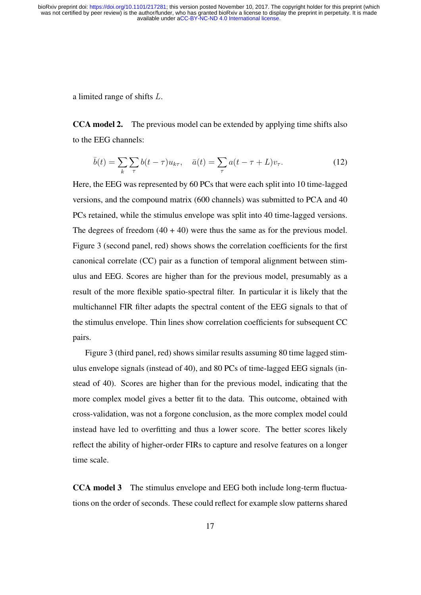a limited range of shifts L.

CCA model 2. The previous model can be extended by applying time shifts also to the EEG channels:

$$
\bar{b}(t) = \sum_{k} \sum_{\tau} b(t - \tau) u_{k\tau}, \quad \bar{a}(t) = \sum_{\tau} a(t - \tau + L)v_{\tau}.
$$
 (12)

Here, the EEG was represented by 60 PCs that were each split into 10 time-lagged versions, and the compound matrix (600 channels) was submitted to PCA and 40 PCs retained, while the stimulus envelope was split into 40 time-lagged versions. The degrees of freedom  $(40 + 40)$  were thus the same as for the previous model. Figure 3 (second panel, red) shows shows the correlation coefficients for the first canonical correlate (CC) pair as a function of temporal alignment between stimulus and EEG. Scores are higher than for the previous model, presumably as a result of the more flexible spatio-spectral filter. In particular it is likely that the multichannel FIR filter adapts the spectral content of the EEG signals to that of the stimulus envelope. Thin lines show correlation coefficients for subsequent CC pairs.

Figure 3 (third panel, red) shows similar results assuming 80 time lagged stimulus envelope signals (instead of 40), and 80 PCs of time-lagged EEG signals (instead of 40). Scores are higher than for the previous model, indicating that the more complex model gives a better fit to the data. This outcome, obtained with cross-validation, was not a forgone conclusion, as the more complex model could instead have led to overfitting and thus a lower score. The better scores likely reflect the ability of higher-order FIRs to capture and resolve features on a longer time scale.

CCA model 3 The stimulus envelope and EEG both include long-term fluctuations on the order of seconds. These could reflect for example slow patterns shared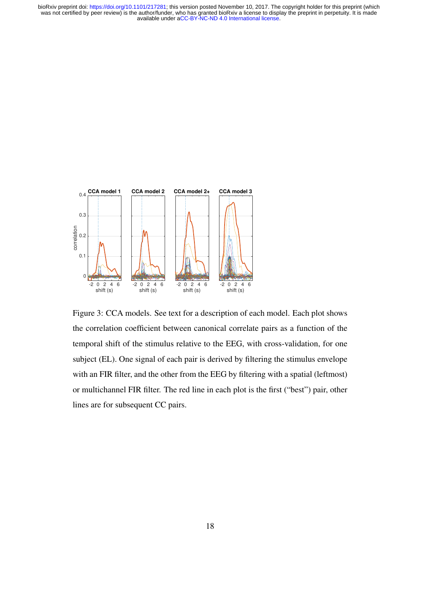

Figure 3: CCA models. See text for a description of each model. Each plot shows the correlation coefficient between canonical correlate pairs as a function of the temporal shift of the stimulus relative to the EEG, with cross-validation, for one subject (EL). One signal of each pair is derived by filtering the stimulus envelope with an FIR filter, and the other from the EEG by filtering with a spatial (leftmost) or multichannel FIR filter. The red line in each plot is the first ("best") pair, other lines are for subsequent CC pairs.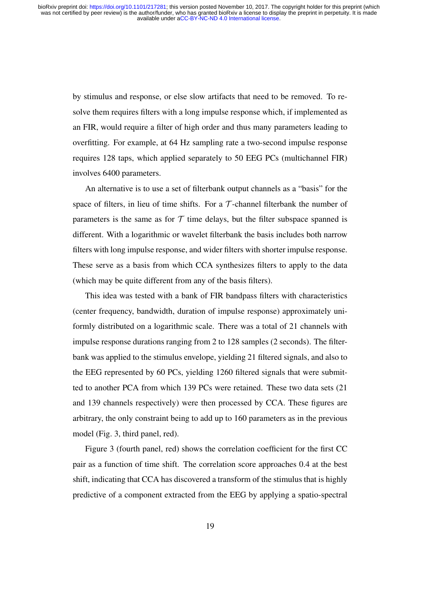by stimulus and response, or else slow artifacts that need to be removed. To resolve them requires filters with a long impulse response which, if implemented as an FIR, would require a filter of high order and thus many parameters leading to overfitting. For example, at 64 Hz sampling rate a two-second impulse response requires 128 taps, which applied separately to 50 EEG PCs (multichannel FIR) involves 6400 parameters.

An alternative is to use a set of filterbank output channels as a "basis" for the space of filters, in lieu of time shifts. For a  $\mathcal T$ -channel filterbank the number of parameters is the same as for  $T$  time delays, but the filter subspace spanned is different. With a logarithmic or wavelet filterbank the basis includes both narrow filters with long impulse response, and wider filters with shorter impulse response. These serve as a basis from which CCA synthesizes filters to apply to the data (which may be quite different from any of the basis filters).

This idea was tested with a bank of FIR bandpass filters with characteristics (center frequency, bandwidth, duration of impulse response) approximately uniformly distributed on a logarithmic scale. There was a total of 21 channels with impulse response durations ranging from 2 to 128 samples (2 seconds). The filterbank was applied to the stimulus envelope, yielding 21 filtered signals, and also to the EEG represented by 60 PCs, yielding 1260 filtered signals that were submitted to another PCA from which 139 PCs were retained. These two data sets (21 and 139 channels respectively) were then processed by CCA. These figures are arbitrary, the only constraint being to add up to 160 parameters as in the previous model (Fig. 3, third panel, red).

Figure 3 (fourth panel, red) shows the correlation coefficient for the first CC pair as a function of time shift. The correlation score approaches 0.4 at the best shift, indicating that CCA has discovered a transform of the stimulus that is highly predictive of a component extracted from the EEG by applying a spatio-spectral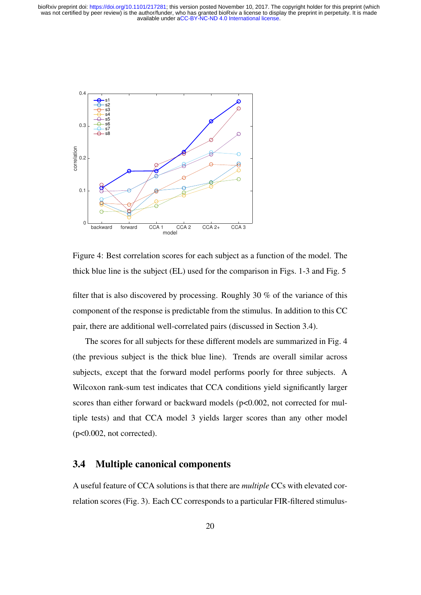

Figure 4: Best correlation scores for each subject as a function of the model. The thick blue line is the subject (EL) used for the comparison in Figs. 1-3 and Fig. 5

filter that is also discovered by processing. Roughly 30 % of the variance of this component of the response is predictable from the stimulus. In addition to this CC pair, there are additional well-correlated pairs (discussed in Section 3.4).

The scores for all subjects for these different models are summarized in Fig. 4 (the previous subject is the thick blue line). Trends are overall similar across subjects, except that the forward model performs poorly for three subjects. A Wilcoxon rank-sum test indicates that CCA conditions yield significantly larger scores than either forward or backward models (p<0.002, not corrected for multiple tests) and that CCA model 3 yields larger scores than any other model  $(p<0.002, not corrected)$ .

### 3.4 Multiple canonical components

A useful feature of CCA solutions is that there are *multiple* CCs with elevated correlation scores (Fig. 3). Each CC corresponds to a particular FIR-filtered stimulus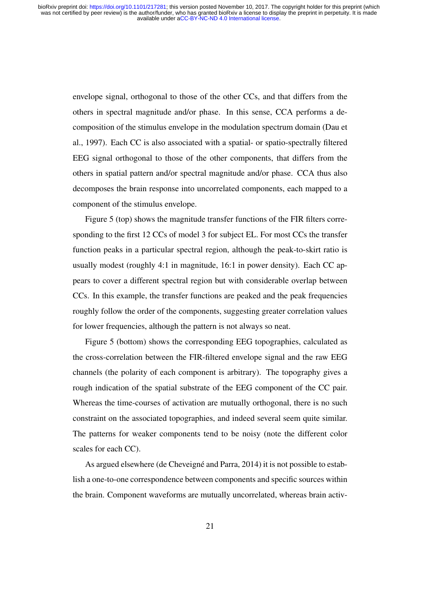envelope signal, orthogonal to those of the other CCs, and that differs from the others in spectral magnitude and/or phase. In this sense, CCA performs a decomposition of the stimulus envelope in the modulation spectrum domain (Dau et al., 1997). Each CC is also associated with a spatial- or spatio-spectrally filtered EEG signal orthogonal to those of the other components, that differs from the others in spatial pattern and/or spectral magnitude and/or phase. CCA thus also decomposes the brain response into uncorrelated components, each mapped to a component of the stimulus envelope.

Figure 5 (top) shows the magnitude transfer functions of the FIR filters corresponding to the first 12 CCs of model 3 for subject EL. For most CCs the transfer function peaks in a particular spectral region, although the peak-to-skirt ratio is usually modest (roughly 4:1 in magnitude, 16:1 in power density). Each CC appears to cover a different spectral region but with considerable overlap between CCs. In this example, the transfer functions are peaked and the peak frequencies roughly follow the order of the components, suggesting greater correlation values for lower frequencies, although the pattern is not always so neat.

Figure 5 (bottom) shows the corresponding EEG topographies, calculated as the cross-correlation between the FIR-filtered envelope signal and the raw EEG channels (the polarity of each component is arbitrary). The topography gives a rough indication of the spatial substrate of the EEG component of the CC pair. Whereas the time-courses of activation are mutually orthogonal, there is no such constraint on the associated topographies, and indeed several seem quite similar. The patterns for weaker components tend to be noisy (note the different color scales for each CC).

As argued elsewhere (de Cheveigné and Parra, 2014) it is not possible to establish a one-to-one correspondence between components and specific sources within the brain. Component waveforms are mutually uncorrelated, whereas brain activ-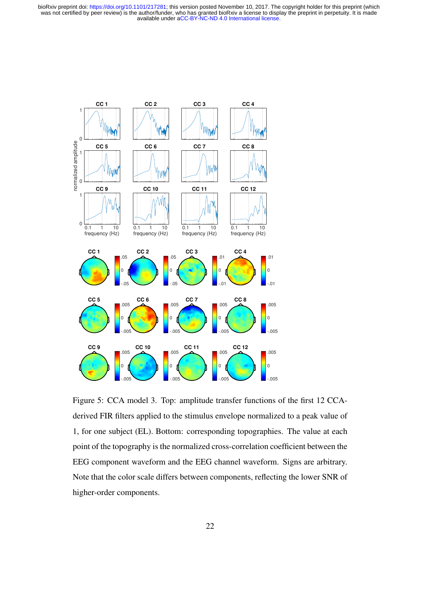

Figure 5: CCA model 3. Top: amplitude transfer functions of the first 12 CCAderived FIR filters applied to the stimulus envelope normalized to a peak value of 1, for one subject (EL). Bottom: corresponding topographies. The value at each point of the topography is the normalized cross-correlation coefficient between the EEG component waveform and the EEG channel waveform. Signs are arbitrary. Note that the color scale differs between components, reflecting the lower SNR of higher-order components.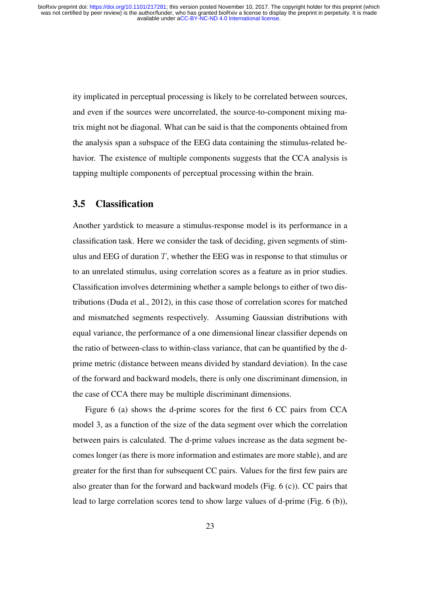ity implicated in perceptual processing is likely to be correlated between sources, and even if the sources were uncorrelated, the source-to-component mixing matrix might not be diagonal. What can be said is that the components obtained from the analysis span a subspace of the EEG data containing the stimulus-related behavior. The existence of multiple components suggests that the CCA analysis is tapping multiple components of perceptual processing within the brain.

### 3.5 Classification

Another yardstick to measure a stimulus-response model is its performance in a classification task. Here we consider the task of deciding, given segments of stimulus and EEG of duration  $T$ , whether the EEG was in response to that stimulus or to an unrelated stimulus, using correlation scores as a feature as in prior studies. Classification involves determining whether a sample belongs to either of two distributions (Duda et al., 2012), in this case those of correlation scores for matched and mismatched segments respectively. Assuming Gaussian distributions with equal variance, the performance of a one dimensional linear classifier depends on the ratio of between-class to within-class variance, that can be quantified by the dprime metric (distance between means divided by standard deviation). In the case of the forward and backward models, there is only one discriminant dimension, in the case of CCA there may be multiple discriminant dimensions.

Figure 6 (a) shows the d-prime scores for the first 6 CC pairs from CCA model 3, as a function of the size of the data segment over which the correlation between pairs is calculated. The d-prime values increase as the data segment becomes longer (as there is more information and estimates are more stable), and are greater for the first than for subsequent CC pairs. Values for the first few pairs are also greater than for the forward and backward models (Fig. 6 (c)). CC pairs that lead to large correlation scores tend to show large values of d-prime (Fig. 6 (b)),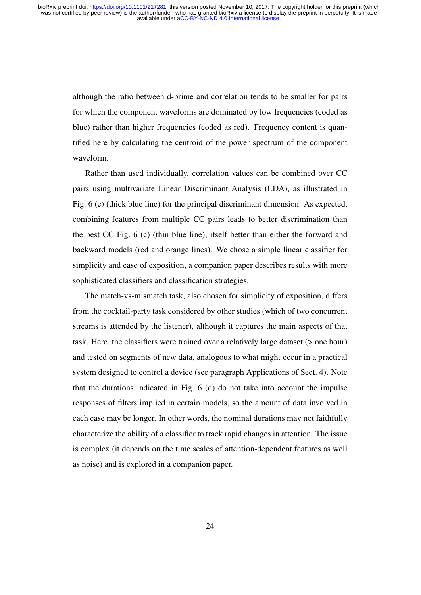although the ratio between d-prime and correlation tends to be smaller for pairs for which the component waveforms are dominated by low frequencies (coded as blue) rather than higher frequencies (coded as red). Frequency content is quantified here by calculating the centroid of the power spectrum of the component waveform.

Rather than used individually, correlation values can be combined over CC pairs using multivariate Linear Discriminant Analysis (LDA), as illustrated in Fig. 6 (c) (thick blue line) for the principal discriminant dimension. As expected, combining features from multiple CC pairs leads to better discrimination than the best CC Fig. 6 (c) (thin blue line), itself better than either the forward and backward models (red and orange lines). We chose a simple linear classifier for simplicity and ease of exposition, a companion paper describes results with more sophisticated classifiers and classification strategies.

The match-vs-mismatch task, also chosen for simplicity of exposition, differs from the cocktail-party task considered by other studies (which of two concurrent streams is attended by the listener), although it captures the main aspects of that task. Here, the classifiers were trained over a relatively large dataset (> one hour) and tested on segments of new data, analogous to what might occur in a practical system designed to control a device (see paragraph Applications of Sect. 4). Note that the durations indicated in Fig. 6 (d) do not take into account the impulse responses of filters implied in certain models, so the amount of data involved in each case may be longer. In other words, the nominal durations may not faithfully characterize the ability of a classifier to track rapid changes in attention. The issue is complex (it depends on the time scales of attention-dependent features as well as noise) and is explored in a companion paper.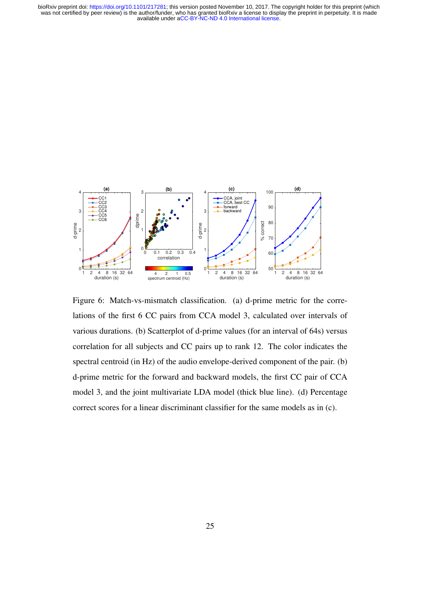

Figure 6: Match-vs-mismatch classification. (a) d-prime metric for the correlations of the first 6 CC pairs from CCA model 3, calculated over intervals of various durations. (b) Scatterplot of d-prime values (for an interval of 64s) versus correlation for all subjects and CC pairs up to rank 12. The color indicates the spectral centroid (in Hz) of the audio envelope-derived component of the pair. (b) d-prime metric for the forward and backward models, the first CC pair of CCA model 3, and the joint multivariate LDA model (thick blue line). (d) Percentage correct scores for a linear discriminant classifier for the same models as in (c).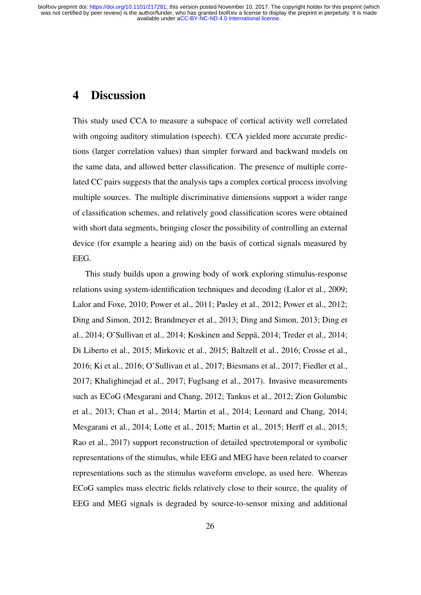## 4 Discussion

This study used CCA to measure a subspace of cortical activity well correlated with ongoing auditory stimulation (speech). CCA yielded more accurate predictions (larger correlation values) than simpler forward and backward models on the same data, and allowed better classification. The presence of multiple correlated CC pairs suggests that the analysis taps a complex cortical process involving multiple sources. The multiple discriminative dimensions support a wider range of classification schemes, and relatively good classification scores were obtained with short data segments, bringing closer the possibility of controlling an external device (for example a hearing aid) on the basis of cortical signals measured by EEG.

This study builds upon a growing body of work exploring stimulus-response relations using system-identification techniques and decoding (Lalor et al., 2009; Lalor and Foxe, 2010; Power et al., 2011; Pasley et al., 2012; Power et al., 2012; Ding and Simon, 2012; Brandmeyer et al., 2013; Ding and Simon, 2013; Ding et al., 2014; O'Sullivan et al., 2014; Koskinen and Seppä, 2014; Treder et al., 2014; Di Liberto et al., 2015; Mirkovic et al., 2015; Baltzell et al., 2016; Crosse et al., 2016; Ki et al., 2016; O'Sullivan et al., 2017; Biesmans et al., 2017; Fiedler et al., 2017; Khalighinejad et al., 2017; Fuglsang et al., 2017). Invasive measurements such as ECoG (Mesgarani and Chang, 2012; Tankus et al., 2012; Zion Golumbic et al., 2013; Chan et al., 2014; Martin et al., 2014; Leonard and Chang, 2014; Mesgarani et al., 2014; Lotte et al., 2015; Martin et al., 2015; Herff et al., 2015; Rao et al., 2017) support reconstruction of detailed spectrotemporal or symbolic representations of the stimulus, while EEG and MEG have been related to coarser representations such as the stimulus waveform envelope, as used here. Whereas ECoG samples mass electric fields relatively close to their source, the quality of EEG and MEG signals is degraded by source-to-sensor mixing and additional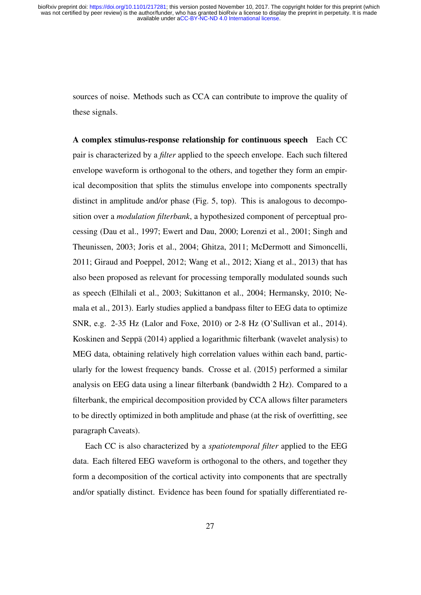sources of noise. Methods such as CCA can contribute to improve the quality of these signals.

A complex stimulus-response relationship for continuous speech Each CC pair is characterized by a *filter* applied to the speech envelope. Each such filtered envelope waveform is orthogonal to the others, and together they form an empirical decomposition that splits the stimulus envelope into components spectrally distinct in amplitude and/or phase (Fig. 5, top). This is analogous to decomposition over a *modulation filterbank*, a hypothesized component of perceptual processing (Dau et al., 1997; Ewert and Dau, 2000; Lorenzi et al., 2001; Singh and Theunissen, 2003; Joris et al., 2004; Ghitza, 2011; McDermott and Simoncelli, 2011; Giraud and Poeppel, 2012; Wang et al., 2012; Xiang et al., 2013) that has also been proposed as relevant for processing temporally modulated sounds such as speech (Elhilali et al., 2003; Sukittanon et al., 2004; Hermansky, 2010; Nemala et al., 2013). Early studies applied a bandpass filter to EEG data to optimize SNR, e.g. 2-35 Hz (Lalor and Foxe, 2010) or 2-8 Hz (O'Sullivan et al., 2014). Koskinen and Seppä (2014) applied a logarithmic filterbank (wavelet analysis) to MEG data, obtaining relatively high correlation values within each band, particularly for the lowest frequency bands. Crosse et al. (2015) performed a similar analysis on EEG data using a linear filterbank (bandwidth 2 Hz). Compared to a filterbank, the empirical decomposition provided by CCA allows filter parameters to be directly optimized in both amplitude and phase (at the risk of overfitting, see paragraph Caveats).

Each CC is also characterized by a *spatiotemporal filter* applied to the EEG data. Each filtered EEG waveform is orthogonal to the others, and together they form a decomposition of the cortical activity into components that are spectrally and/or spatially distinct. Evidence has been found for spatially differentiated re-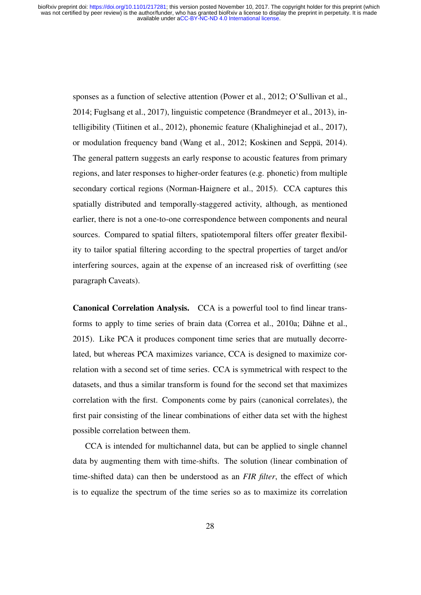> sponses as a function of selective attention (Power et al., 2012; O'Sullivan et al., 2014; Fuglsang et al., 2017), linguistic competence (Brandmeyer et al., 2013), intelligibility (Tiitinen et al., 2012), phonemic feature (Khalighinejad et al., 2017), or modulation frequency band (Wang et al., 2012; Koskinen and Seppä, 2014). The general pattern suggests an early response to acoustic features from primary regions, and later responses to higher-order features (e.g. phonetic) from multiple secondary cortical regions (Norman-Haignere et al., 2015). CCA captures this spatially distributed and temporally-staggered activity, although, as mentioned earlier, there is not a one-to-one correspondence between components and neural sources. Compared to spatial filters, spatiotemporal filters offer greater flexibility to tailor spatial filtering according to the spectral properties of target and/or interfering sources, again at the expense of an increased risk of overfitting (see paragraph Caveats).

> Canonical Correlation Analysis. CCA is a powerful tool to find linear transforms to apply to time series of brain data (Correa et al., 2010a; Dähne et al., 2015). Like PCA it produces component time series that are mutually decorrelated, but whereas PCA maximizes variance, CCA is designed to maximize correlation with a second set of time series. CCA is symmetrical with respect to the datasets, and thus a similar transform is found for the second set that maximizes correlation with the first. Components come by pairs (canonical correlates), the first pair consisting of the linear combinations of either data set with the highest possible correlation between them.

> CCA is intended for multichannel data, but can be applied to single channel data by augmenting them with time-shifts. The solution (linear combination of time-shifted data) can then be understood as an *FIR filter*, the effect of which is to equalize the spectrum of the time series so as to maximize its correlation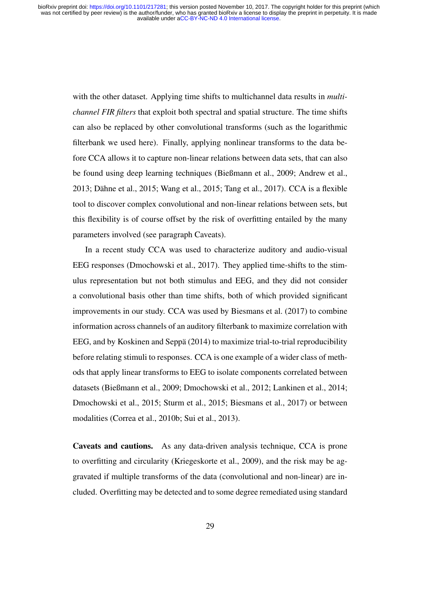with the other dataset. Applying time shifts to multichannel data results in *multichannel FIR filters* that exploit both spectral and spatial structure. The time shifts can also be replaced by other convolutional transforms (such as the logarithmic filterbank we used here). Finally, applying nonlinear transforms to the data before CCA allows it to capture non-linear relations between data sets, that can also be found using deep learning techniques (Bießmann et al., 2009; Andrew et al., 2013; Dähne et al., 2015; Wang et al., 2015; Tang et al., 2017). CCA is a flexible tool to discover complex convolutional and non-linear relations between sets, but this flexibility is of course offset by the risk of overfitting entailed by the many parameters involved (see paragraph Caveats).

In a recent study CCA was used to characterize auditory and audio-visual EEG responses (Dmochowski et al., 2017). They applied time-shifts to the stimulus representation but not both stimulus and EEG, and they did not consider a convolutional basis other than time shifts, both of which provided significant improvements in our study. CCA was used by Biesmans et al. (2017) to combine information across channels of an auditory filterbank to maximize correlation with EEG, and by Koskinen and Seppä (2014) to maximize trial-to-trial reproducibility before relating stimuli to responses. CCA is one example of a wider class of methods that apply linear transforms to EEG to isolate components correlated between datasets (Bießmann et al., 2009; Dmochowski et al., 2012; Lankinen et al., 2014; Dmochowski et al., 2015; Sturm et al., 2015; Biesmans et al., 2017) or between modalities (Correa et al., 2010b; Sui et al., 2013).

Caveats and cautions. As any data-driven analysis technique, CCA is prone to overfitting and circularity (Kriegeskorte et al., 2009), and the risk may be aggravated if multiple transforms of the data (convolutional and non-linear) are included. Overfitting may be detected and to some degree remediated using standard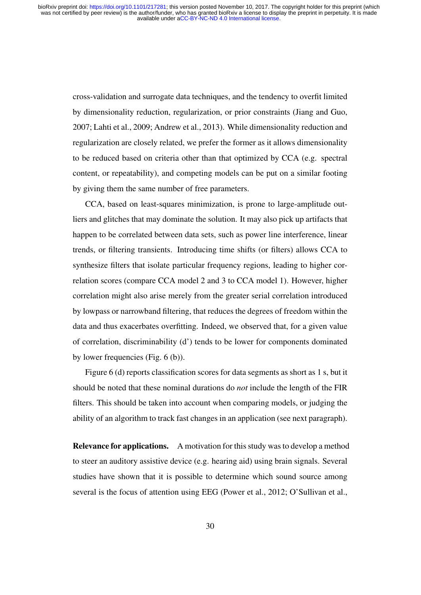cross-validation and surrogate data techniques, and the tendency to overfit limited by dimensionality reduction, regularization, or prior constraints (Jiang and Guo, 2007; Lahti et al., 2009; Andrew et al., 2013). While dimensionality reduction and regularization are closely related, we prefer the former as it allows dimensionality to be reduced based on criteria other than that optimized by CCA (e.g. spectral content, or repeatability), and competing models can be put on a similar footing by giving them the same number of free parameters.

CCA, based on least-squares minimization, is prone to large-amplitude outliers and glitches that may dominate the solution. It may also pick up artifacts that happen to be correlated between data sets, such as power line interference, linear trends, or filtering transients. Introducing time shifts (or filters) allows CCA to synthesize filters that isolate particular frequency regions, leading to higher correlation scores (compare CCA model 2 and 3 to CCA model 1). However, higher correlation might also arise merely from the greater serial correlation introduced by lowpass or narrowband filtering, that reduces the degrees of freedom within the data and thus exacerbates overfitting. Indeed, we observed that, for a given value of correlation, discriminability (d') tends to be lower for components dominated by lower frequencies (Fig. 6 (b)).

Figure 6 (d) reports classification scores for data segments as short as 1 s, but it should be noted that these nominal durations do *not* include the length of the FIR filters. This should be taken into account when comparing models, or judging the ability of an algorithm to track fast changes in an application (see next paragraph).

Relevance for applications. A motivation for this study was to develop a method to steer an auditory assistive device (e.g. hearing aid) using brain signals. Several studies have shown that it is possible to determine which sound source among several is the focus of attention using EEG (Power et al., 2012; O'Sullivan et al.,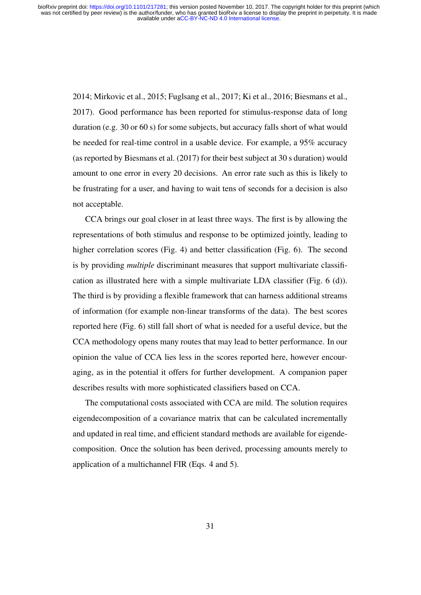2014; Mirkovic et al., 2015; Fuglsang et al., 2017; Ki et al., 2016; Biesmans et al., 2017). Good performance has been reported for stimulus-response data of long duration (e.g. 30 or 60 s) for some subjects, but accuracy falls short of what would be needed for real-time control in a usable device. For example, a 95% accuracy (as reported by Biesmans et al. (2017) for their best subject at 30 s duration) would amount to one error in every 20 decisions. An error rate such as this is likely to be frustrating for a user, and having to wait tens of seconds for a decision is also not acceptable.

CCA brings our goal closer in at least three ways. The first is by allowing the representations of both stimulus and response to be optimized jointly, leading to higher correlation scores (Fig. 4) and better classification (Fig. 6). The second is by providing *multiple* discriminant measures that support multivariate classification as illustrated here with a simple multivariate LDA classifier (Fig. 6 (d)). The third is by providing a flexible framework that can harness additional streams of information (for example non-linear transforms of the data). The best scores reported here (Fig. 6) still fall short of what is needed for a useful device, but the CCA methodology opens many routes that may lead to better performance. In our opinion the value of CCA lies less in the scores reported here, however encouraging, as in the potential it offers for further development. A companion paper describes results with more sophisticated classifiers based on CCA.

The computational costs associated with CCA are mild. The solution requires eigendecomposition of a covariance matrix that can be calculated incrementally and updated in real time, and efficient standard methods are available for eigendecomposition. Once the solution has been derived, processing amounts merely to application of a multichannel FIR (Eqs. 4 and 5).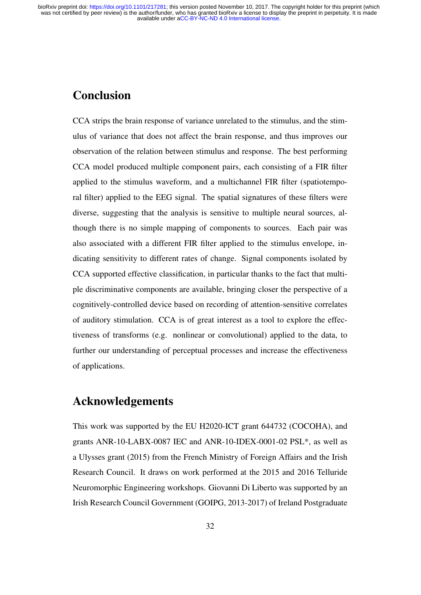# **Conclusion**

CCA strips the brain response of variance unrelated to the stimulus, and the stimulus of variance that does not affect the brain response, and thus improves our observation of the relation between stimulus and response. The best performing CCA model produced multiple component pairs, each consisting of a FIR filter applied to the stimulus waveform, and a multichannel FIR filter (spatiotemporal filter) applied to the EEG signal. The spatial signatures of these filters were diverse, suggesting that the analysis is sensitive to multiple neural sources, although there is no simple mapping of components to sources. Each pair was also associated with a different FIR filter applied to the stimulus envelope, indicating sensitivity to different rates of change. Signal components isolated by CCA supported effective classification, in particular thanks to the fact that multiple discriminative components are available, bringing closer the perspective of a cognitively-controlled device based on recording of attention-sensitive correlates of auditory stimulation. CCA is of great interest as a tool to explore the effectiveness of transforms (e.g. nonlinear or convolutional) applied to the data, to further our understanding of perceptual processes and increase the effectiveness of applications.

### Acknowledgements

This work was supported by the EU H2020-ICT grant 644732 (COCOHA), and grants ANR-10-LABX-0087 IEC and ANR-10-IDEX-0001-02 PSL\*, as well as a Ulysses grant (2015) from the French Ministry of Foreign Affairs and the Irish Research Council. It draws on work performed at the 2015 and 2016 Telluride Neuromorphic Engineering workshops. Giovanni Di Liberto was supported by an Irish Research Council Government (GOIPG, 2013-2017) of Ireland Postgraduate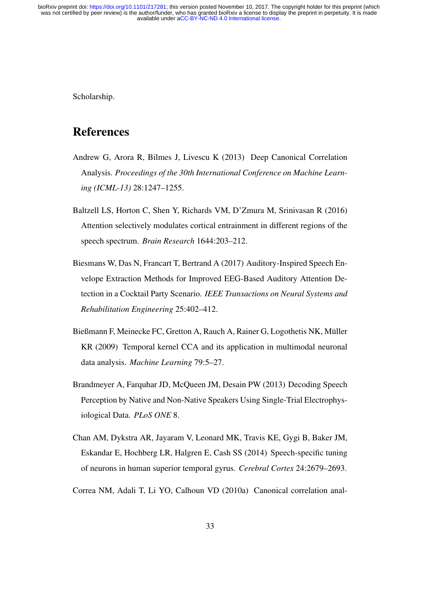Scholarship.

### References

- Andrew G, Arora R, Bilmes J, Livescu K (2013) Deep Canonical Correlation Analysis. *Proceedings of the 30th International Conference on Machine Learning (ICML-13)* 28:1247–1255.
- Baltzell LS, Horton C, Shen Y, Richards VM, D'Zmura M, Srinivasan R (2016) Attention selectively modulates cortical entrainment in different regions of the speech spectrum. *Brain Research* 1644:203–212.
- Biesmans W, Das N, Francart T, Bertrand A (2017) Auditory-Inspired Speech Envelope Extraction Methods for Improved EEG-Based Auditory Attention Detection in a Cocktail Party Scenario. *IEEE Transactions on Neural Systems and Rehabilitation Engineering* 25:402–412.
- Bießmann F, Meinecke FC, Gretton A, Rauch A, Rainer G, Logothetis NK, Müller KR (2009) Temporal kernel CCA and its application in multimodal neuronal data analysis. *Machine Learning* 79:5–27.
- Brandmeyer A, Farquhar JD, McQueen JM, Desain PW (2013) Decoding Speech Perception by Native and Non-Native Speakers Using Single-Trial Electrophysiological Data. *PLoS ONE* 8.
- Chan AM, Dykstra AR, Jayaram V, Leonard MK, Travis KE, Gygi B, Baker JM, Eskandar E, Hochberg LR, Halgren E, Cash SS (2014) Speech-specific tuning of neurons in human superior temporal gyrus. *Cerebral Cortex* 24:2679–2693.
- Correa NM, Adali T, Li YO, Calhoun VD (2010a) Canonical correlation anal-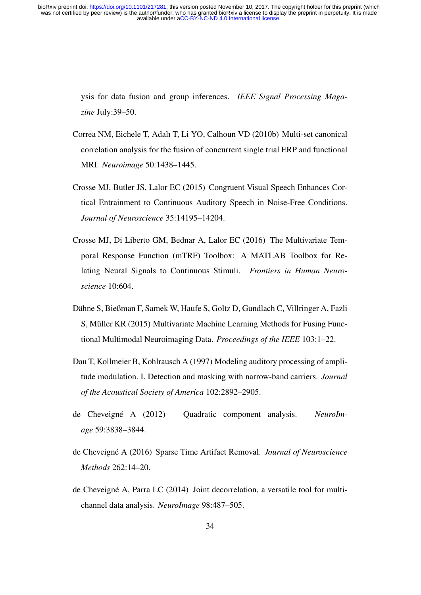> ysis for data fusion and group inferences. *IEEE Signal Processing Magazine* July:39–50.

- Correa NM, Eichele T, Adalı T, Li YO, Calhoun VD (2010b) Multi-set canonical correlation analysis for the fusion of concurrent single trial ERP and functional MRI. *Neuroimage* 50:1438–1445.
- Crosse MJ, Butler JS, Lalor EC (2015) Congruent Visual Speech Enhances Cortical Entrainment to Continuous Auditory Speech in Noise-Free Conditions. *Journal of Neuroscience* 35:14195–14204.
- Crosse MJ, Di Liberto GM, Bednar A, Lalor EC (2016) The Multivariate Temporal Response Function (mTRF) Toolbox: A MATLAB Toolbox for Relating Neural Signals to Continuous Stimuli. *Frontiers in Human Neuroscience* 10:604.
- Dähne S, Bießman F, Samek W, Haufe S, Goltz D, Gundlach C, Villringer A, Fazli S, Müller KR (2015) Multivariate Machine Learning Methods for Fusing Functional Multimodal Neuroimaging Data. *Proceedings of the IEEE* 103:1–22.
- Dau T, Kollmeier B, Kohlrausch A (1997) Modeling auditory processing of amplitude modulation. I. Detection and masking with narrow-band carriers. *Journal of the Acoustical Society of America* 102:2892–2905.
- de Cheveigné A (2012) Quadratic component analysis. *NeuroImage* 59:3838–3844.
- de Cheveigné A (2016) Sparse Time Artifact Removal. *Journal of Neuroscience Methods* 262:14–20.
- de Cheveigné A, Parra LC (2014) Joint decorrelation, a versatile tool for multichannel data analysis. *NeuroImage* 98:487–505.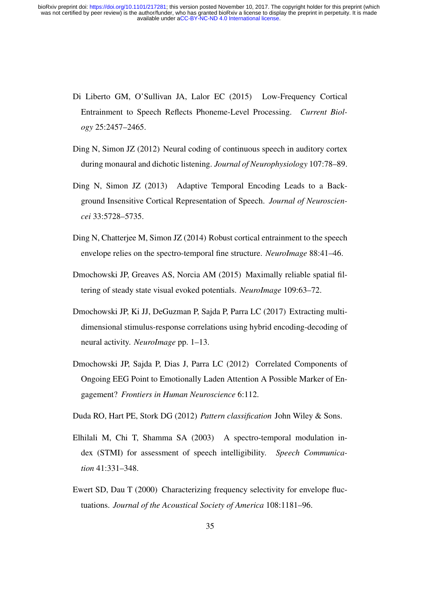- Di Liberto GM, O'Sullivan JA, Lalor EC (2015) Low-Frequency Cortical Entrainment to Speech Reflects Phoneme-Level Processing. *Current Biology* 25:2457–2465.
- Ding N, Simon JZ (2012) Neural coding of continuous speech in auditory cortex during monaural and dichotic listening. *Journal of Neurophysiology* 107:78–89.
- Ding N, Simon JZ (2013) Adaptive Temporal Encoding Leads to a Background Insensitive Cortical Representation of Speech. *Journal of Neurosciencei* 33:5728–5735.
- Ding N, Chatterjee M, Simon JZ (2014) Robust cortical entrainment to the speech envelope relies on the spectro-temporal fine structure. *NeuroImage* 88:41–46.
- Dmochowski JP, Greaves AS, Norcia AM (2015) Maximally reliable spatial filtering of steady state visual evoked potentials. *NeuroImage* 109:63–72.
- Dmochowski JP, Ki JJ, DeGuzman P, Sajda P, Parra LC (2017) Extracting multidimensional stimulus-response correlations using hybrid encoding-decoding of neural activity. *NeuroImage* pp. 1–13.
- Dmochowski JP, Sajda P, Dias J, Parra LC (2012) Correlated Components of Ongoing EEG Point to Emotionally Laden Attention A Possible Marker of Engagement? *Frontiers in Human Neuroscience* 6:112.
- Duda RO, Hart PE, Stork DG (2012) *Pattern classification* John Wiley & Sons.
- Elhilali M, Chi T, Shamma SA (2003) A spectro-temporal modulation index (STMI) for assessment of speech intelligibility. *Speech Communication* 41:331–348.
- Ewert SD, Dau T (2000) Characterizing frequency selectivity for envelope fluctuations. *Journal of the Acoustical Society of America* 108:1181–96.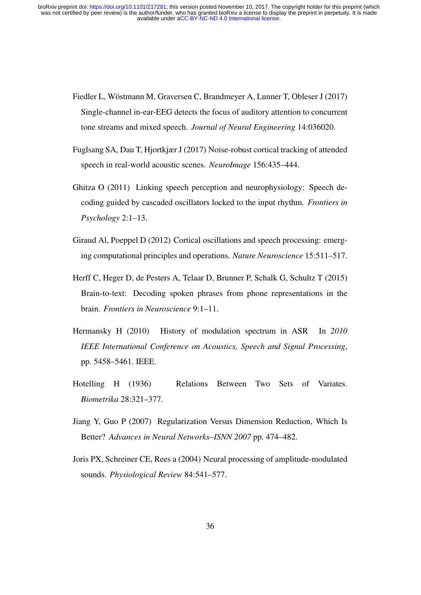- Fiedler L, Wöstmann M, Graversen C, Brandmeyer A, Lunner T, Obleser J (2017) Single-channel in-ear-EEG detects the focus of auditory attention to concurrent tone streams and mixed speech. *Journal of Neural Engineering* 14:036020.
- Fuglsang SA, Dau T, Hjortkjær J (2017) Noise-robust cortical tracking of attended speech in real-world acoustic scenes. *NeuroImage* 156:435–444.
- Ghitza O (2011) Linking speech perception and neurophysiology: Speech decoding guided by cascaded oscillators locked to the input rhythm. *Frontiers in Psychology* 2:1–13.
- Giraud Al, Poeppel D (2012) Cortical oscillations and speech processing: emerging computational principles and operations. *Nature Neuroscience* 15:511–517.
- Herff C, Heger D, de Pesters A, Telaar D, Brunner P, Schalk G, Schultz T (2015) Brain-to-text: Decoding spoken phrases from phone representations in the brain. *Frontiers in Neuroscience* 9:1–11.
- Hermansky H (2010) History of modulation spectrum in ASR In *2010 IEEE International Conference on Acoustics, Speech and Signal Processing*, pp. 5458–5461. IEEE.
- Hotelling H (1936) Relations Between Two Sets of Variates. *Biometrika* 28:321–377.
- Jiang Y, Guo P (2007) Regularization Versus Dimension Reduction, Which Is Better? *Advances in Neural Networks–ISNN 2007* pp. 474–482.
- Joris PX, Schreiner CE, Rees a (2004) Neural processing of amplitude-modulated sounds. *Physiological Review* 84:541–577.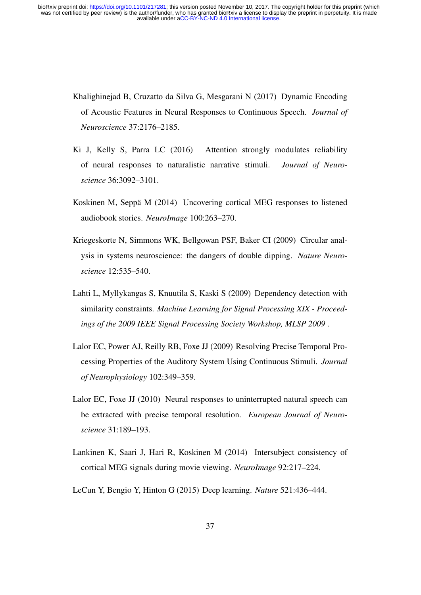- Khalighinejad B, Cruzatto da Silva G, Mesgarani N (2017) Dynamic Encoding of Acoustic Features in Neural Responses to Continuous Speech. *Journal of Neuroscience* 37:2176–2185.
- Ki J, Kelly S, Parra LC (2016) Attention strongly modulates reliability of neural responses to naturalistic narrative stimuli. *Journal of Neuroscience* 36:3092–3101.
- Koskinen M, Seppä M (2014) Uncovering cortical MEG responses to listened audiobook stories. *NeuroImage* 100:263–270.
- Kriegeskorte N, Simmons WK, Bellgowan PSF, Baker CI (2009) Circular analysis in systems neuroscience: the dangers of double dipping. *Nature Neuroscience* 12:535–540.
- Lahti L, Myllykangas S, Knuutila S, Kaski S (2009) Dependency detection with similarity constraints. *Machine Learning for Signal Processing XIX - Proceedings of the 2009 IEEE Signal Processing Society Workshop, MLSP 2009* .
- Lalor EC, Power AJ, Reilly RB, Foxe JJ (2009) Resolving Precise Temporal Processing Properties of the Auditory System Using Continuous Stimuli. *Journal of Neurophysiology* 102:349–359.
- Lalor EC, Foxe JJ (2010) Neural responses to uninterrupted natural speech can be extracted with precise temporal resolution. *European Journal of Neuroscience* 31:189–193.
- Lankinen K, Saari J, Hari R, Koskinen M (2014) Intersubject consistency of cortical MEG signals during movie viewing. *NeuroImage* 92:217–224.
- LeCun Y, Bengio Y, Hinton G (2015) Deep learning. *Nature* 521:436–444.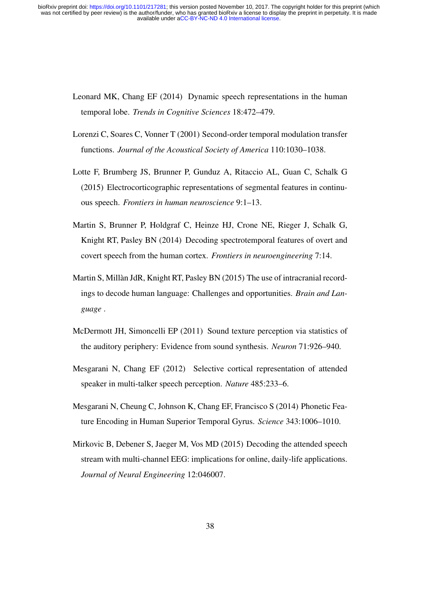- Leonard MK, Chang EF (2014) Dynamic speech representations in the human temporal lobe. *Trends in Cognitive Sciences* 18:472–479.
- Lorenzi C, Soares C, Vonner T (2001) Second-order temporal modulation transfer functions. *Journal of the Acoustical Society of America* 110:1030–1038.
- Lotte F, Brumberg JS, Brunner P, Gunduz A, Ritaccio AL, Guan C, Schalk G (2015) Electrocorticographic representations of segmental features in continuous speech. *Frontiers in human neuroscience* 9:1–13.
- Martin S, Brunner P, Holdgraf C, Heinze HJ, Crone NE, Rieger J, Schalk G, Knight RT, Pasley BN (2014) Decoding spectrotemporal features of overt and covert speech from the human cortex. *Frontiers in neuroengineering* 7:14.
- Martin S, Millàn JdR, Knight RT, Pasley BN (2015) The use of intracranial recordings to decode human language: Challenges and opportunities. *Brain and Language* .
- McDermott JH, Simoncelli EP (2011) Sound texture perception via statistics of the auditory periphery: Evidence from sound synthesis. *Neuron* 71:926–940.
- Mesgarani N, Chang EF (2012) Selective cortical representation of attended speaker in multi-talker speech perception. *Nature* 485:233–6.
- Mesgarani N, Cheung C, Johnson K, Chang EF, Francisco S (2014) Phonetic Feature Encoding in Human Superior Temporal Gyrus. *Science* 343:1006–1010.
- Mirkovic B, Debener S, Jaeger M, Vos MD (2015) Decoding the attended speech stream with multi-channel EEG: implications for online, daily-life applications. *Journal of Neural Engineering* 12:046007.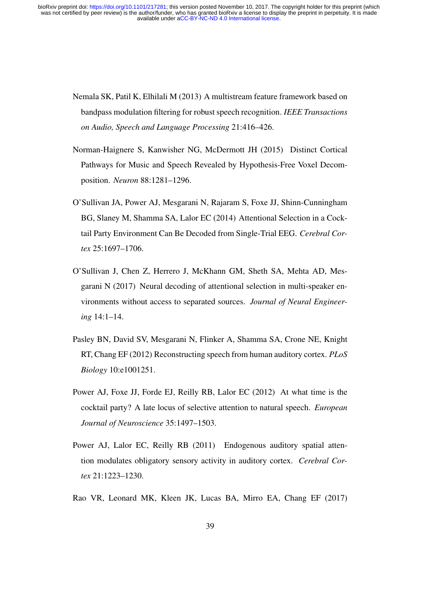- Nemala SK, Patil K, Elhilali M (2013) A multistream feature framework based on bandpass modulation filtering for robust speech recognition. *IEEE Transactions on Audio, Speech and Language Processing* 21:416–426.
- Norman-Haignere S, Kanwisher NG, McDermott JH (2015) Distinct Cortical Pathways for Music and Speech Revealed by Hypothesis-Free Voxel Decomposition. *Neuron* 88:1281–1296.
- O'Sullivan JA, Power AJ, Mesgarani N, Rajaram S, Foxe JJ, Shinn-Cunningham BG, Slaney M, Shamma SA, Lalor EC (2014) Attentional Selection in a Cocktail Party Environment Can Be Decoded from Single-Trial EEG. *Cerebral Cortex* 25:1697–1706.
- O'Sullivan J, Chen Z, Herrero J, McKhann GM, Sheth SA, Mehta AD, Mesgarani N (2017) Neural decoding of attentional selection in multi-speaker environments without access to separated sources. *Journal of Neural Engineering* 14:1–14.
- Pasley BN, David SV, Mesgarani N, Flinker A, Shamma SA, Crone NE, Knight RT, Chang EF (2012) Reconstructing speech from human auditory cortex. *PLoS Biology* 10:e1001251.
- Power AJ, Foxe JJ, Forde EJ, Reilly RB, Lalor EC (2012) At what time is the cocktail party? A late locus of selective attention to natural speech. *European Journal of Neuroscience* 35:1497–1503.
- Power AJ, Lalor EC, Reilly RB (2011) Endogenous auditory spatial attention modulates obligatory sensory activity in auditory cortex. *Cerebral Cortex* 21:1223–1230.
- Rao VR, Leonard MK, Kleen JK, Lucas BA, Mirro EA, Chang EF (2017)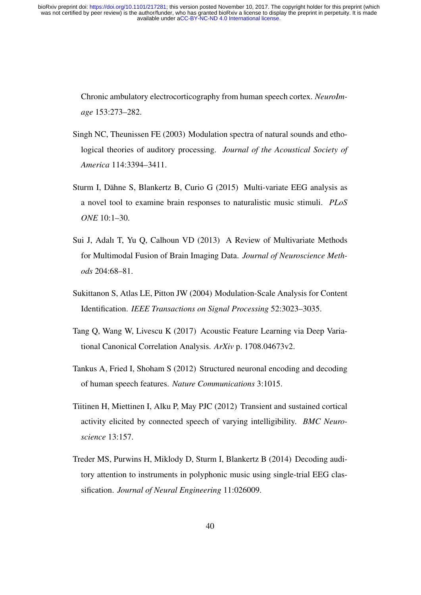> Chronic ambulatory electrocorticography from human speech cortex. *NeuroImage* 153:273–282.

- Singh NC, Theunissen FE (2003) Modulation spectra of natural sounds and ethological theories of auditory processing. *Journal of the Acoustical Society of America* 114:3394–3411.
- Sturm I, Dähne S, Blankertz B, Curio G (2015) Multi-variate EEG analysis as a novel tool to examine brain responses to naturalistic music stimuli. *PLoS ONE* 10:1–30.
- Sui J, Adalı T, Yu Q, Calhoun VD (2013) A Review of Multivariate Methods for Multimodal Fusion of Brain Imaging Data. *Journal of Neuroscience Methods* 204:68–81.
- Sukittanon S, Atlas LE, Pitton JW (2004) Modulation-Scale Analysis for Content Identification. *IEEE Transactions on Signal Processing* 52:3023–3035.
- Tang Q, Wang W, Livescu K (2017) Acoustic Feature Learning via Deep Variational Canonical Correlation Analysis. *ArXiv* p. 1708.04673v2.
- Tankus A, Fried I, Shoham S (2012) Structured neuronal encoding and decoding of human speech features. *Nature Communications* 3:1015.
- Tiitinen H, Miettinen I, Alku P, May PJC (2012) Transient and sustained cortical activity elicited by connected speech of varying intelligibility. *BMC Neuroscience* 13:157.
- Treder MS, Purwins H, Miklody D, Sturm I, Blankertz B (2014) Decoding auditory attention to instruments in polyphonic music using single-trial EEG classification. *Journal of Neural Engineering* 11:026009.